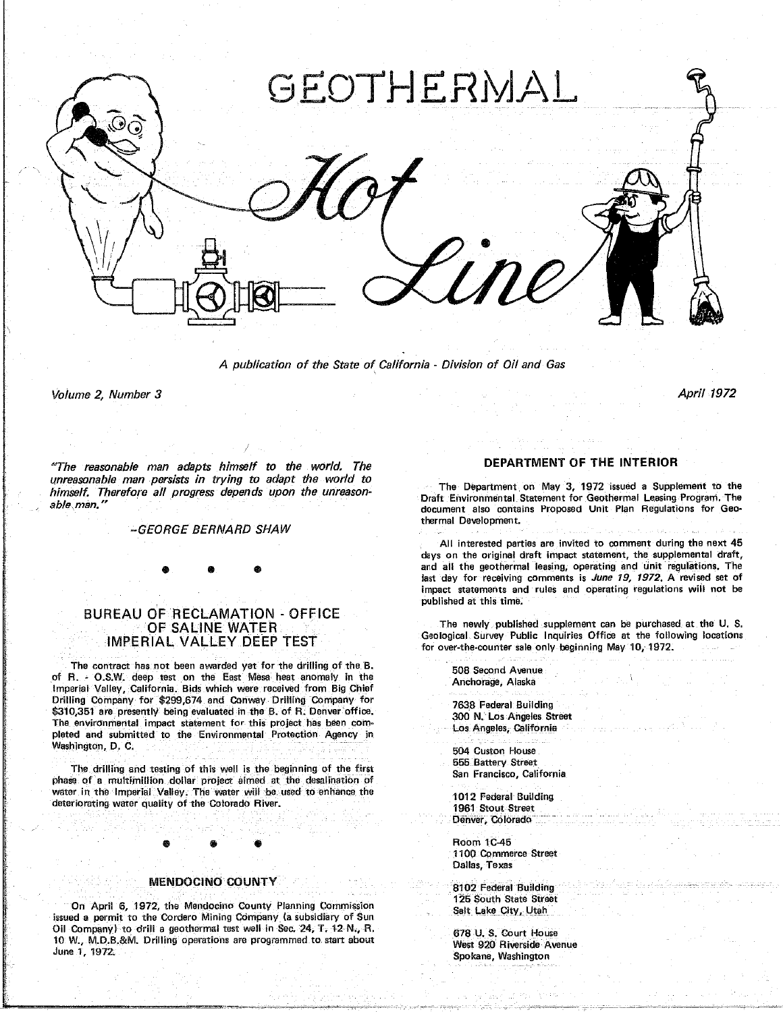

A publication of the State of California - Division of Oil and Gas

Volume 2, Number 3 April 1972, State 3 April 1972, State 3 April 1972, State 3 April 1972, State 3 April 1972,

April 1972

"The reasonable man adapts himself to the world. The unreasonable man persists in trying to adapt the world to unreasonable man persists in trying to adapt the world to<br>himself. Therefore all progress depends upon the unreason-<br>Draft Environmental Statement for Geothermal Leasing Program. The able man."

**-**GEORGE BERNARD SHAW

B**URE**A**U** O**F RECL**AMA**TIO**N **- OFFICE**

The contract has not been awarded yet for the drilling of the B. The contract has not been awarded yet for the drilling of the B.<br>of R. - O.S.W. deep test on the East Mesa heat anomaly in the Anchorage, Alaska Imperial Valley, California. Bids which were received from Big Chief<br>Drilling Company for \$299,674 and Conway Drilling Company for 7638 Federal Building **B310,351** are presently being evaluated in the B, of R. Denver office. <br> **COO**M, Los Angeles Street The environmental impact statement for this project has been com-<br>Los Angeles, California pleted and submitted to the Environmental Protection Agency in<br>Mechineron D C

The drilling and testing of this well is the beginning of the first phase of a multimillion dollar project aimed at the desalination of water in the Imperial Valley. The water will be used to enhance the Water in the imperial valley, the water will be used to enhance the means and the 1012 Federal Building<br>deteriorating water quality of the Colorado River.

## **MENDOCINO COUNTY** 2008 8102 Federal Building

On April 6, 1972, the Mendocino County Planning Commission *Issued a permit to the Cordero Mining Company (a subsidiary of Sun.* **i**Oil Company) to orill a geothermal test well in Sec. 24, T. 12-N., R. Oil Company) to orill a geothermal test well in Sec. 24, 1, 12 N., 13. (30) 678 U.S. Court House<br>10 W., M.D.B.&M. Drilling operations are programmed to start about West 920 Riverside Avenue June 1, 1972.<br>Spokane, Washington

## **DEPARTMENT OF THE INTERIOR**

**document** also contains Proposed Unit Plan Regulations for Geo $t$ hermal Development. **th**e**rmal D**e**velop**men**t.**

All interested parties are invited to comment during the next 45 A**ll interes**te**d parti**e**s ar**e **invit**e**d to co**mme**nt dur**i**ng the** n**ext 45** and all the geothermal leasing, operating and unit regulations. The last day for receiving comments is June 19, 1972. A revised set of l**ast day for r**e**c**e**iving comments is** June 19, 1972. A **revis**e**d** se**t of impact stat**e**ments and ru**l**es and op**e**rat**i**ng r**e**gulations wi**l**l** n**ot** b**e pub**li**shed at this time,**

OF SALINE WATER<br>
The newly published supplement can be purchased at the U.S.<br>
Seclogical Survey Public Inquiries Office at the following locations<br>
Secrets and the curricular and poly beginning Max 10, 1077 INIPERIAL VALLEY DELF ILS Fraction over-the-counter sale only beginning May 10, 1972.

**Was**h**ingto**n**, D.C. 504 Cust**on **House San Francisco, California** 

**dDenver**, **Colorado R** 

Den**ve**r**, Colorad**o

Room 1C-45<br>1100 Commerce Street 1100 Comm**e**r**c**e **St**reet **D**al**l**a**s**, Tex**as**

**125 South State Street Salt Lake City, Utah** 

**June** 1, 1**97**2**, Spo**k**ane**, **Washington**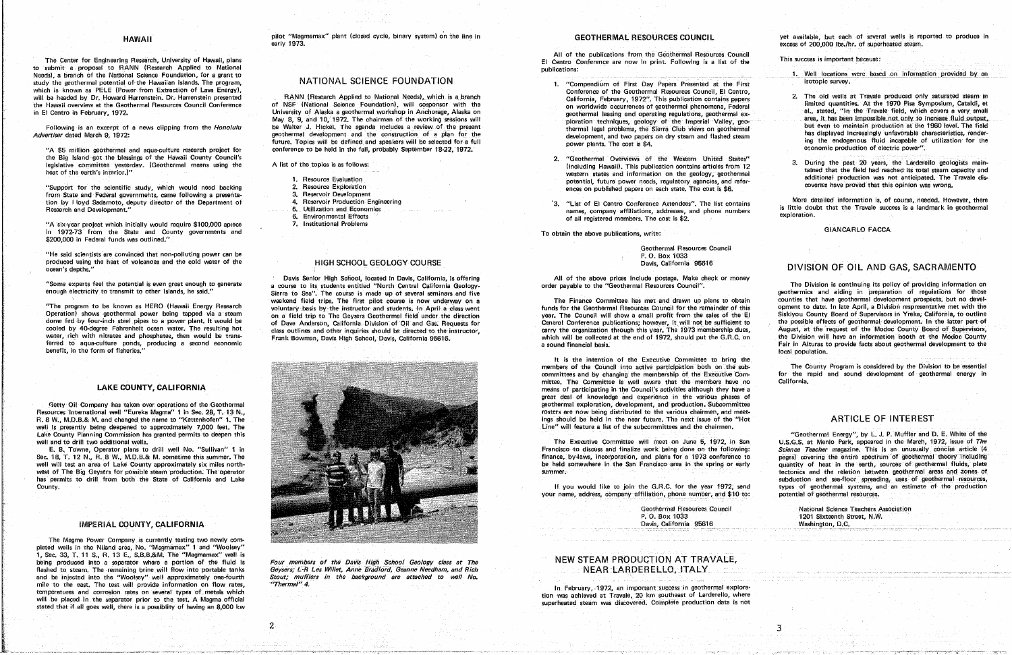The Center for Engineering Research, University of Hawaii, plans to submit a proposal to RANN (Research Applied to National<br>Needs) a branch of the National Science Foundation, for a grant to publications:<br>Needs) a branch of the National Science Foundation, for a grant to **Needs)**, a branch of the National Science Foundation, for a grant to study the geothermal potential of the Hawaiian Islands. The program, NATIONAL SCIENCE FOUNDATION 1. "Compendium of First Day Papers Presented at the First Sotopic survey. which is known as PELE (Power from Extraction of Lava Energy),<br>will be headed by Dr. Howard Harrenstein, Dr. Harrenstein presented RANN (Research Applied to National Needs), which is a branch California February 1972" This will be headed by Dr. Howard Harrenstein. Dr. Harrenstein presented RANN (Research Applied to National Needs), which is a branch Conference Conference Conference Conference of the Bublication contains papers The Hawaii overview at the Geothermal Resources Council Conference of NSF (National Science Foundation), will cosponsor with the content on the state of NSF (National Science Foundation), will cosponsor with the content on

Following is an excerpt of a news clipping from the Honolulu

A \$5 million geothermal and aqua-culture research project for conference to be held in the fall, probably September 18-22, 1972.<br>
The Big Island got the blessings of the Hawaii County Council's<br>
legislative committee veste legislative committee yesterday. (Geothermal means using the A list of the topics is as follows: This way including Hawaii). This publication contains articles from 12

"Support for the scientific study, which would need backing from State and Federal governments, came following a presenta-<br>tion by Lloyd Sadamoto deputy director of the Department of a Reservoir Production Engineering and the State Content Conference of the Section of the State of **f b b** *F* **b cd** *f* **c c** *f f f f f f f f <i>f f f f f f f f f f f f f f f f f f f f f*

"He said scientists are convinced that non-polluting power can be produced using the heat of volcances and the cold water of the **Area Collumnate CHOOL GEOLOGY COURSE** *Davis* California 95616 **prod**u**c**e**d using th**e **heat of volcano**e**s** an**d** t**he co**l**d** wat**e**r **of the** HIGH SCHOOL GEOLOGY **COURSE** Davis, **Cali**f**o**r**nia 956**1**6**

"Some experts feel the potential is even great enough to generate

"The program to be known as HERO (Hawaii Energy Research benefit, in the form of fisheries." I can consider the contract control of the form of fisheries." I can consider the control of the control of the control of the control of the control of the control of the control of the

## LAKE COUNTY, CALIFORNIA

Lake County Planning Commission has granted permits to deepen this

"A **s**ix-**y**ear p**r**o**j**ect which **i**n**i**ti**a**ll**y** would require \$1**0**0,000 a**p**iece 7. In**s**tituti**o**n**a**l Prob**l**em**s** in 1972-73 from the State and County governments and the above publications, write:<br>\$200.000 in Federal funds was outlined:" \$200,000 in F**e**deral funds wa**s** outlined."

# Ge**ot**hermal Re**so**u**rc**e**s Coun**c**i**l

Davis Senior High School, located in Davis, California, is offering The Manuscul All of the above prices include postage. Make check or money<br>a course to its students entitled "North Central California Geology-<br>order payab

it is the intention of the Executive Committee to bring the **interiors** of the Council into active participation both on the submittee. The Committee is well aware that the members have no california. **means of participating in the Council's activities although they have a** L**AKE COUNTY**, **CA**L**IFORNIA means** o**f participating in the Council'**s **activities although they have a geothermal exploration, development, and production, Subcommittee** 

## **<sup>o</sup>**ca**an**'**<sup>s</sup> <sup>d</sup>**ept**hs.**" **DI**VISION O**F** OIL AN**D** GAS, SAC**R**AM**E**N**T**O

The Division is continuing its policy of providing information on water, rich with nitrates and phosphates, then would be trans-<br>
Frank Bowman, Davis High School, Davis, California 95616.<br>
The second provide part of 1972, should put the G.R.C. on the Division will have an information boo a sound financial basis. The contract of the contract of the contract of Fair in Alturas to provide facts about geothermal development to the

> The County Program is considered by the Division to be essential committees and by changing the membership of the Executive Com- for the rapid and sound development of geothermal energy in

your name, address, company affiliation, phone number, and \$10 to: potential of geothermal resources. **y**our **na**me, address, comp**a**n**y** \_ffi**li**at**i**on, phone n**u**mber, **and** \$10 to**:** potentia**l** o**f** geothermal re**s**ources.

> Ge**ot**he**r**m**al** Re**so**ur**c**es **C**oun**cil** N**at**i**ona**l S**cie**nc**e Teach**er**s Ass**oc**iatio**n **Washington, D.C.**

| Geothermal Resources Council |  |  |
|------------------------------|--|--|
| P. O. Box 1033               |  |  |
| Davis, California 95616      |  |  |
|                              |  |  |

yet available, but each of several wells is reported to produce in

## This success is important because:

5. Dengan dengan kalimatan dan sebagai kecamatan dan menjadi kecamatan dan sebagai kecamatan dan kecamatan **d**a

- 
- $\frac{1}{2}$  **tained** that the field had reached its total steam capacity and 1. Resource Evaluation<br>
2. Resource Evaluation<br>
2. Resource Evaluation<br>
2. Resource Evaluation

is little doubt that the Travale success is a landmark in geothermal

## **GIANCARLO FACCA**

**The** M**agm**a **Pow**er **Co**m**pany is cu**r**r**e**ntly t**es**tin**g **two newly comp**l**e**t**e**d **we**g**s in t**he N**il**an**d** a**r**e**a, N**o, "M**agma**m**ax**" **1 and** "**Wools**e**y**" **being produced into a separator where a portion of the fluid is** t, Sec. 33, 1. 11. 3, n. 13 E., S.B.B.&M, The Magnificities went is<br>being produced into a separator where a portion of the fluid is Four members of the Davis High School Geology class at The New STEAM PRODUCTION AT TRAVALE mile to the east, The test will provide information on flow rates, "Thermal" 4. mue to the east, Ine test will provide information on flow rates, Therman 4.<br>The contract the contract of the contract the contract of the contract of the contract of the contract of the contract of the contract of the con will be placed in the separator prior to the test. A Magma official will be placed in the separator prior to the test. A Magma official superheated steam was discovered. Complete production data is not stated that if all goes well, there is a possibility of having an 8,000 kw and the state of the control of the control of the control of the control of the control of the control of the control of the control of the contr

pilot "Magmamax" plant (closed cycle, binary system) on the line in HAWAII Sample the prior "Magmamax" plant (closed cycle, binary system) on the line in the interview of **GEOTHERMAL RESOURCES COUNCIL** with the vert available, but each of several wells is released steam,

University of Alaska a geothermal workshop in Anchorage, Alaska on all and the working in the stated, "In the Travale field, which covers a very small may a section of the working will also the working will area, it has be May 8, 9, and 10, 1972. The chairman of the working sessions will example and the security is all the community of the security of the community of the community of the community of the community of the community of the co be Walter J. Hickel, The sgenda includes a review of the present the message of the model of the model of the model of the model of the model of the model of the model of the model of the model of the model of the model of Advertiser dated March 9, 1972:<br>
Advertiser dated March 9, 1972:<br>
Fitture Topics will be defined and speakers will be selected for a full be development, and two papers on dry steam and flashed steam in the endocenous flui future. Topics will be defined and speakers will be selected for a full exerced will be reaccomplished. The cost is \$4,<br>conference to be held in the fall probably Sentember 18-22 1972 conference to be held in the fall, probably September 18-22, 1972,

- 
- 
- 
- 
- 
- 
- 7. Institutional Problems

enough electricity to transmit to other Islands, he said." Search and the Search of several senate up of several seminars and five several seminars and five several security to transmit to other mission of several seminars weekend field trips. The first pilot course is now underway on a The Finance Committee has met and drawn up plans to obtain counties that have geothermal development prospects, but no develvoluntary pass by the instructor and students. In April a class went that will be the Geothermal Resources Council for the remainder of this opment to date. In late April, a Division respresentative met with the Operation) shows geothermal power being tapped via a steam is on a field trip to The Gevers Geothermal field under the direction year. The Council will show a small profit from the sales of the El Siskiyou County Board of dome fed by four-inch steel pipes to a power plant. It would be of Dave Anderson, California Division of Oil and Gas. Requests for Centrol Conference publications; however, it will not be sufficient to the possible effects cooled by 40-degree Fahrenheit ocean water. The resulting hot class outlines and other inquiries should be directed to the instructor. carry the organization through this year. The 1973 membership dues, August, at the requ



and be injected into the "Woolsey" well approximately one-fourth Stout; mufflers in the background are attached to well No.

 $2<sup>1</sup>$ 

## **GEOTHERMAL RESOURCES COUNCIL**

All of the publications from the Geothermal Resources Council **AI** Centro Conference are now in print. Following is a list of the

- 
- heat of the earth's interior.)" 2. Resource Exploration and the cost is \$6.
- tion by I loyd Sadamoto, deputy director of the Department of **4.** Reservoir Production Engineering and Exerces 3. "List of El Centro Conference Attendees". The list contains is little dou<br>Besearch and Development." **Exerc** of all registered members. The cost is \$2.